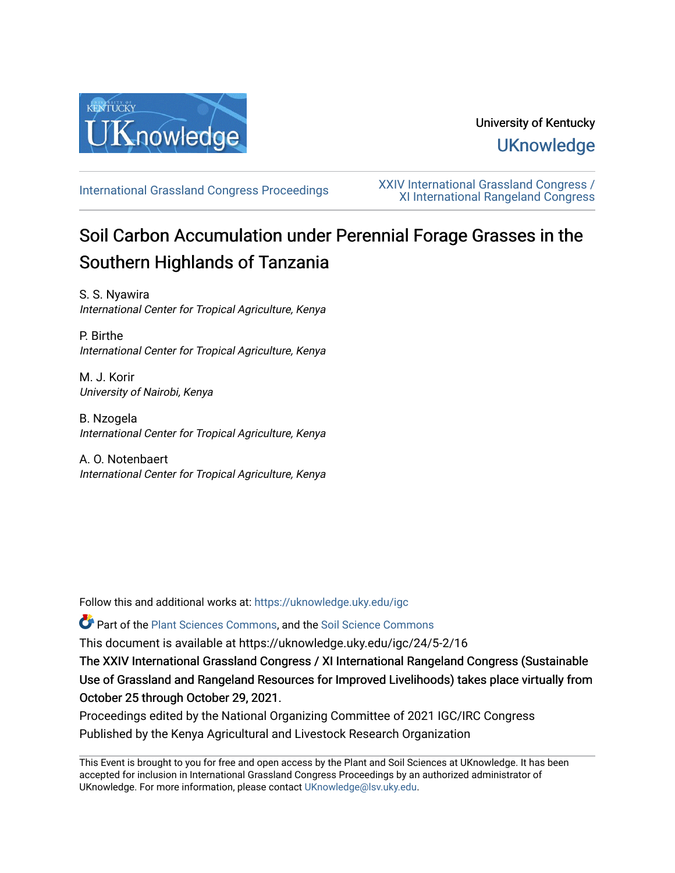

## University of Kentucky **UKnowledge**

[International Grassland Congress Proceedings](https://uknowledge.uky.edu/igc) [XXIV International Grassland Congress /](https://uknowledge.uky.edu/igc/24)  [XI International Rangeland Congress](https://uknowledge.uky.edu/igc/24) 

# Soil Carbon Accumulation under Perennial Forage Grasses in the Southern Highlands of Tanzania

S. S. Nyawira International Center for Tropical Agriculture, Kenya

P. Birthe International Center for Tropical Agriculture, Kenya

M. J. Korir University of Nairobi, Kenya

B. Nzogela International Center for Tropical Agriculture, Kenya

A. O. Notenbaert International Center for Tropical Agriculture, Kenya

Follow this and additional works at: [https://uknowledge.uky.edu/igc](https://uknowledge.uky.edu/igc?utm_source=uknowledge.uky.edu%2Figc%2F24%2F5-2%2F16&utm_medium=PDF&utm_campaign=PDFCoverPages) 

Part of the [Plant Sciences Commons](http://network.bepress.com/hgg/discipline/102?utm_source=uknowledge.uky.edu%2Figc%2F24%2F5-2%2F16&utm_medium=PDF&utm_campaign=PDFCoverPages), and the [Soil Science Commons](http://network.bepress.com/hgg/discipline/163?utm_source=uknowledge.uky.edu%2Figc%2F24%2F5-2%2F16&utm_medium=PDF&utm_campaign=PDFCoverPages) 

This document is available at https://uknowledge.uky.edu/igc/24/5-2/16

The XXIV International Grassland Congress / XI International Rangeland Congress (Sustainable Use of Grassland and Rangeland Resources for Improved Livelihoods) takes place virtually from October 25 through October 29, 2021.

Proceedings edited by the National Organizing Committee of 2021 IGC/IRC Congress Published by the Kenya Agricultural and Livestock Research Organization

This Event is brought to you for free and open access by the Plant and Soil Sciences at UKnowledge. It has been accepted for inclusion in International Grassland Congress Proceedings by an authorized administrator of UKnowledge. For more information, please contact [UKnowledge@lsv.uky.edu](mailto:UKnowledge@lsv.uky.edu).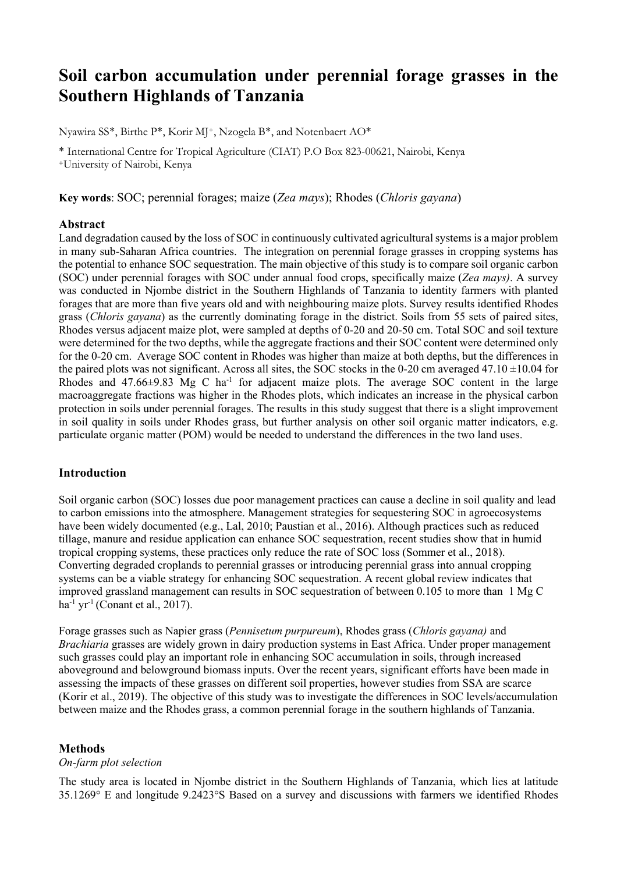## **Soil carbon accumulation under perennial forage grasses in the Southern Highlands of Tanzania**

Nyawira SS\*, Birthe P\*, Korir MJ+, Nzogela B\*, and Notenbaert AO\*

\* International Centre for Tropical Agriculture (CIAT) P.O Box 823-00621, Nairobi, Kenya +University of Nairobi, Kenya

**Key words**: SOC; perennial forages; maize (*Zea mays*); Rhodes (*Chloris gayana*)

## **Abstract**

Land degradation caused by the loss of SOC in continuously cultivated agricultural systems is a major problem in many sub-Saharan Africa countries. The integration on perennial forage grasses in cropping systems has the potential to enhance SOC sequestration. The main objective of this study is to compare soil organic carbon (SOC) under perennial forages with SOC under annual food crops, specifically maize (*Zea mays)*. A survey was conducted in Njombe district in the Southern Highlands of Tanzania to identity farmers with planted forages that are more than five years old and with neighbouring maize plots. Survey results identified Rhodes grass (*Chloris gayana*) as the currently dominating forage in the district. Soils from 55 sets of paired sites, Rhodes versus adjacent maize plot, were sampled at depths of 0-20 and 20-50 cm. Total SOC and soil texture were determined for the two depths, while the aggregate fractions and their SOC content were determined only for the 0-20 cm. Average SOC content in Rhodes was higher than maize at both depths, but the differences in the paired plots was not significant. Across all sites, the SOC stocks in the 0-20 cm averaged 47.10  $\pm$ 10.04 for Rhodes and  $47.66\pm9.83$  Mg C ha<sup>-1</sup> for adjacent maize plots. The average SOC content in the large macroaggregate fractions was higher in the Rhodes plots, which indicates an increase in the physical carbon protection in soils under perennial forages. The results in this study suggest that there is a slight improvement in soil quality in soils under Rhodes grass, but further analysis on other soil organic matter indicators, e.g. particulate organic matter (POM) would be needed to understand the differences in the two land uses.

## **Introduction**

Soil organic carbon (SOC) losses due poor management practices can cause a decline in soil quality and lead to carbon emissions into the atmosphere. Management strategies for sequestering SOC in agroecosystems have been widely documented (e.g., Lal, 2010; Paustian et al., 2016). Although practices such as reduced tillage, manure and residue application can enhance SOC sequestration, recent studies show that in humid tropical cropping systems, these practices only reduce the rate of SOC loss (Sommer et al., 2018). Converting degraded croplands to perennial grasses or introducing perennial grass into annual cropping systems can be a viable strategy for enhancing SOC sequestration. A recent global review indicates that improved grassland management can results in SOC sequestration of between 0.105 to more than 1 Mg C  $ha^{-1}$  yr<sup>-1</sup> (Conant et al., 2017).

Forage grasses such as Napier grass (*Pennisetum purpureum*), Rhodes grass (*Chloris gayana)* and *Brachiaria* grasses are widely grown in dairy production systems in East Africa. Under proper management such grasses could play an important role in enhancing SOC accumulation in soils, through increased aboveground and belowground biomass inputs. Over the recent years, significant efforts have been made in assessing the impacts of these grasses on different soil properties, however studies from SSA are scarce (Korir et al., 2019). The objective of this study was to investigate the differences in SOC levels/accumulation between maize and the Rhodes grass, a common perennial forage in the southern highlands of Tanzania.

### **Methods**

## *On-farm plot selection*

The study area is located in Njombe district in the Southern Highlands of Tanzania, which lies at latitude 35.1269° E and longitude 9.2423°S Based on a survey and discussions with farmers we identified Rhodes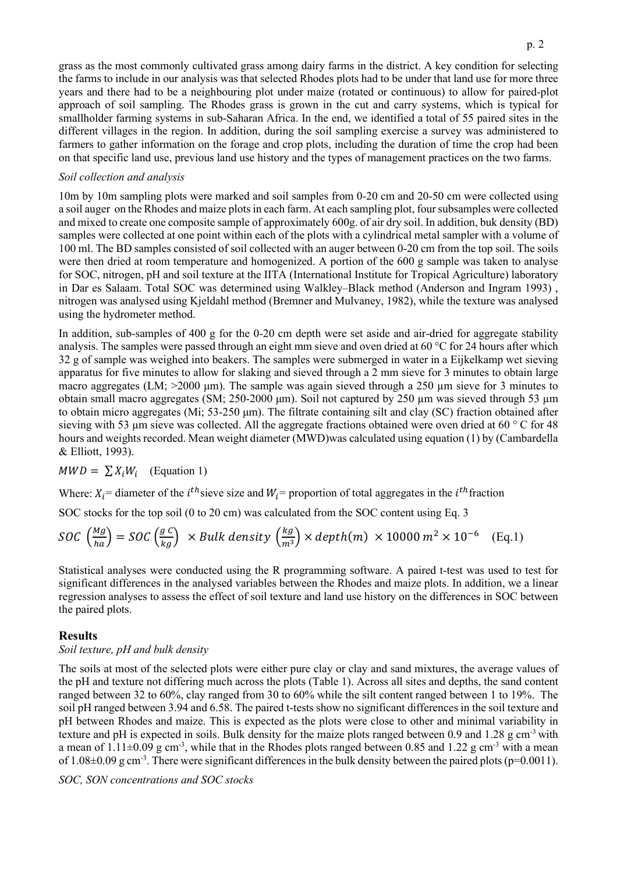grass as the most commonly cultivated grass among dairy farms in the district. A key condition for selecting the farms to include in our analysis was that selected Rhodes plots had to be under that land use for more three years and there had to be a neighbouring plot under maize (rotated or continuous) to allow for paired-plot approach of soil sampling. The Rhodes grass is grown in the cut and carry systems, which is typical for smallholder farming systems in sub-Saharan Africa. In the end, we identified a total of 55 paired sites in the different villages in the region. In addition, during the soil sampling exercise a survey was administered to farmers to gather information on the forage and crop plots, including the duration of time the crop had been on that specific land use, previous land use history and the types of management practices on the two farms.

## *Soil collection and analysis*

10m by 10m sampling plots were marked and soil samples from 0-20 cm and 20-50 cm were collected using a soil auger on the Rhodes and maize plots in each farm. At each sampling plot, foursubsamples were collected and mixed to create one composite sample of approximately 600g. of air dry soil. In addition, buk density (BD) samples were collected at one point within each of the plots with a cylindrical metal sampler with a volume of 100 ml. The BD samples consisted of soil collected with an auger between 0-20 cm from the top soil. The soils were then dried at room temperature and homogenized. A portion of the 600 g sample was taken to analyse for SOC, nitrogen, pH and soil texture at the IITA (International Institute for Tropical Agriculture) laboratory in Dar es Salaam. Total SOC was determined using Walkley–Black method (Anderson and Ingram 1993) , nitrogen was analysed using Kjeldahl method (Bremner and Mulvaney, 1982), while the texture was analysed using the hydrometer method.

In addition, sub-samples of 400 g for the 0-20 cm depth were set aside and air-dried for aggregate stability analysis. The samples were passed through an eight mm sieve and oven dried at 60 °C for 24 hours after which 32 g of sample was weighed into beakers. The samples were submerged in water in a Eijkelkamp wet sieving apparatus for five minutes to allow for slaking and sieved through a 2 mm sieve for 3 minutes to obtain large macro aggregates (LM; >2000 μm). The sample was again sieved through a 250 µm sieve for 3 minutes to obtain small macro aggregates (SM; 250-2000 μm). Soil not captured by 250 µm was sieved through 53 µm to obtain micro aggregates (Mi; 53-250 μm). The filtrate containing silt and clay (SC) fraction obtained after sieving with 53 µm sieve was collected. All the aggregate fractions obtained were oven dried at 60 ° C for 48 hours and weights recorded. Mean weight diameter (MWD)was calculated using equation (1) by (Cambardella & Elliott, 1993).

## $MWD = \sum X_i W_i$  (Equation 1)

Where:  $X_i$  = diameter of the *i*<sup>th</sup> sieve size and  $W_i$  = proportion of total aggregates in the *i*<sup>th</sup> fraction

SOC stocks for the top soil (0 to 20 cm) was calculated from the SOC content using Eq. 3

$$
SOC\left(\frac{Mg}{ha}\right) = SOC \left(\frac{g}{kg}\right) \times Bulk density \left(\frac{kg}{m^3}\right) \times depth(m) \times 10000 m^2 \times 10^{-6} \quad \text{(Eq.1)}
$$

Statistical analyses were conducted using the R programming software. A paired t-test was used to test for significant differences in the analysed variables between the Rhodes and maize plots. In addition, we a linear regression analyses to assess the effect of soil texture and land use history on the differences in SOC between the paired plots.

### **Results**

## *Soil texture, pH and bulk density*

The soils at most of the selected plots were either pure clay or clay and sand mixtures, the average values of the pH and texture not differing much across the plots (Table 1). Across all sites and depths, the sand content ranged between 32 to 60%, clay ranged from 30 to 60% while the silt content ranged between 1 to 19%. The soil pH ranged between 3.94 and 6.58. The paired t-tests show no significant differences in the soil texture and pH between Rhodes and maize. This is expected as the plots were close to other and minimal variability in texture and pH is expected in soils. Bulk density for the maize plots ranged between 0.9 and 1.28 g cm-3 with a mean of  $1.11\pm0.09$  g cm<sup>-3</sup>, while that in the Rhodes plots ranged between 0.85 and 1.22 g cm<sup>-3</sup> with a mean of 1.08 $\pm$ 0.09 g cm<sup>-3</sup>. There were significant differences in the bulk density between the paired plots (p=0.0011).

## *SOC, SON concentrations and SOC stocks*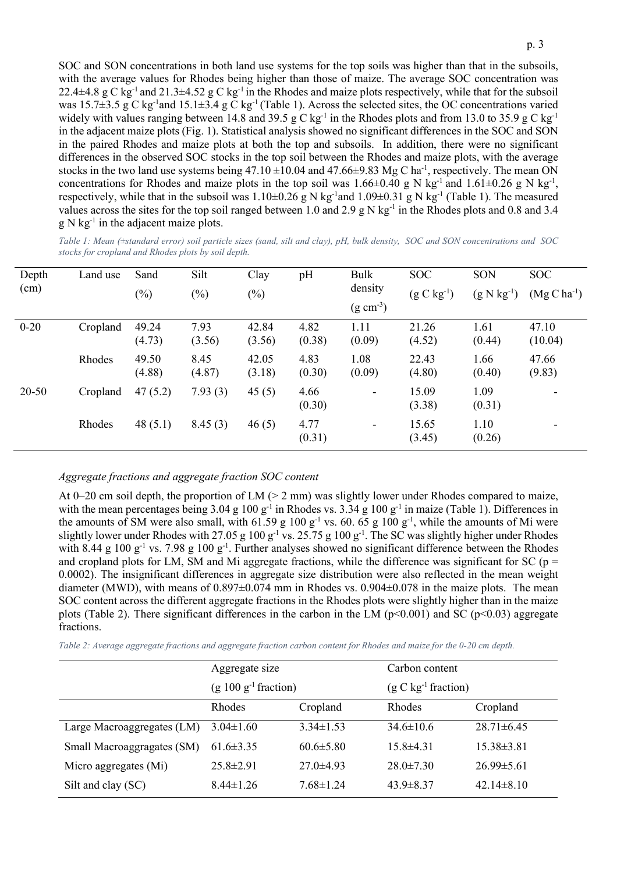SOC and SON concentrations in both land use systems for the top soils was higher than that in the subsoils, with the average values for Rhodes being higher than those of maize. The average SOC concentration was 22.4 $\pm$ 4.8 g C kg<sup>-1</sup> and 21.3 $\pm$ 4.52 g C kg<sup>-1</sup> in the Rhodes and maize plots respectively, while that for the subsoil was 15.7 $\pm$ 3.5 g C kg<sup>-1</sup> and 15.1 $\pm$ 3.4 g C kg<sup>-1</sup> (Table 1). Across the selected sites, the OC concentrations varied widely with values ranging between 14.8 and 39.5 g C kg<sup>-1</sup> in the Rhodes plots and from 13.0 to 35.9 g C kg<sup>-1</sup> in the adjacent maize plots (Fig. 1). Statistical analysis showed no significant differences in the SOC and SON in the paired Rhodes and maize plots at both the top and subsoils. In addition, there were no significant differences in the observed SOC stocks in the top soil between the Rhodes and maize plots, with the average stocks in the two land use systems being  $47.10 \pm 10.04$  and  $47.66 \pm 9.83$  Mg C ha<sup>-1</sup>, respectively. The mean ON concentrations for Rhodes and maize plots in the top soil was  $1.66\pm0.40$  g N kg<sup>-1</sup> and  $1.61\pm0.26$  g N kg<sup>-1</sup>, respectively, while that in the subsoil was  $1.10\pm0.26$  g N kg<sup>-1</sup> and  $1.09\pm0.31$  g N kg<sup>-1</sup> (Table 1). The measured values across the sites for the top soil ranged between 1.0 and 2.9 g N kg<sup>-1</sup> in the Rhodes plots and 0.8 and 3.4  $g \, N \, kg^{-1}$  in the adjacent maize plots.

*Table 1: Mean (±standard error) soil particle sizes (sand, silt and clay), pH, bulk density, SOC and SON concentrations and SOC stocks for cropland and Rhodes plots by soil depth.*

| Depth<br>(cm) | Land use | Sand            | Silt           | Clay            | pH             | Bulk<br>density<br>$(g \text{ cm}^{-3})$ | <b>SOC</b>      | SON             | <b>SOC</b>       |
|---------------|----------|-----------------|----------------|-----------------|----------------|------------------------------------------|-----------------|-----------------|------------------|
|               |          | $(\%)$          | $(\%)$         | $(\%)$          |                |                                          | $(g C kg^{-1})$ | $(g N kg^{-1})$ | $(Mg C ha^{-1})$ |
| $0 - 20$      | Cropland | 49.24<br>(4.73) | 7.93<br>(3.56) | 42.84<br>(3.56) | 4.82<br>(0.38) | 1.11<br>(0.09)                           | 21.26<br>(4.52) | 1.61<br>(0.44)  | 47.10<br>(10.04) |
|               | Rhodes   | 49.50<br>(4.88) | 8.45<br>(4.87) | 42.05<br>(3.18) | 4.83<br>(0.30) | 1.08<br>(0.09)                           | 22.43<br>(4.80) | 1.66<br>(0.40)  | 47.66<br>(9.83)  |
| $20 - 50$     | Cropland | 47(5.2)         | 7.93(3)        | 45(5)           | 4.66<br>(0.30) | -                                        | 15.09<br>(3.38) | 1.09<br>(0.31)  |                  |
|               | Rhodes   | 48(5.1)         | 8.45(3)        | 46(5)           | 4.77<br>(0.31) | -                                        | 15.65<br>(3.45) | 1.10<br>(0.26)  |                  |

### *Aggregate fractions and aggregate fraction SOC content*

At 0–20 cm soil depth, the proportion of LM ( $>$  2 mm) was slightly lower under Rhodes compared to maize, with the mean percentages being  $3.04$  g  $100$  g<sup>-1</sup> in Rhodes vs.  $3.34$  g  $100$  g<sup>-1</sup> in maize (Table 1). Differences in the amounts of SM were also small, with  $61.59 \text{ g } 100 \text{ g}^{-1}$  vs.  $60.65 \text{ g } 100 \text{ g}^{-1}$ , while the amounts of Mi were slightly lower under Rhodes with 27.05 g  $100 \text{ g}^{-1}$  vs. 25.75 g  $100 \text{ g}^{-1}$ . The SC was slightly higher under Rhodes with 8.44 g  $100 \text{ g}^{-1}$  vs. 7.98 g  $100 \text{ g}^{-1}$ . Further analyses showed no significant difference between the Rhodes and cropland plots for LM, SM and Mi aggregate fractions, while the difference was significant for SC ( $p =$ 0.0002). The insignificant differences in aggregate size distribution were also reflected in the mean weight diameter (MWD), with means of  $0.897\pm0.074$  mm in Rhodes vs. 0.904 $\pm0.078$  in the maize plots. The mean SOC content across the different aggregate fractions in the Rhodes plots were slightly higher than in the maize plots (Table 2). There significant differences in the carbon in the LM ( $p<0.001$ ) and SC ( $p<0.03$ ) aggregate fractions.

*Table 2: Average aggregate fractions and aggregate fraction carbon content for Rhodes and maize for the 0-20 cm depth.*

|                            | Aggregate size         |                 | Carbon content        |                  |  |  |
|----------------------------|------------------------|-----------------|-----------------------|------------------|--|--|
|                            | $(g 100 g-1 fraction)$ |                 | $(g C kg-1 fraction)$ |                  |  |  |
|                            | <b>Rhodes</b>          | Cropland        | Rhodes                | Cropland         |  |  |
| Large Macroaggregates (LM) | $3.04 \pm 1.60$        | $3.34 \pm 1.53$ | $34.6 \pm 10.6$       | $28.71 \pm 6.45$ |  |  |
| Small Macroaggragates (SM) | $61.6 \pm 3.35$        | $60.6 \pm 5.80$ | $15.8 \pm 4.31$       | $15.38\pm3.81$   |  |  |
| Micro aggregates (Mi)      | $25.8 \pm 2.91$        | $27.0 \pm 4.93$ | $28.0 \pm 7.30$       | $26.99\pm5.61$   |  |  |
| Silt and clay (SC)         | $8.44 \pm 1.26$        | $7.68 \pm 1.24$ | $43.9 \pm 8.37$       | $42.14 \pm 8.10$ |  |  |